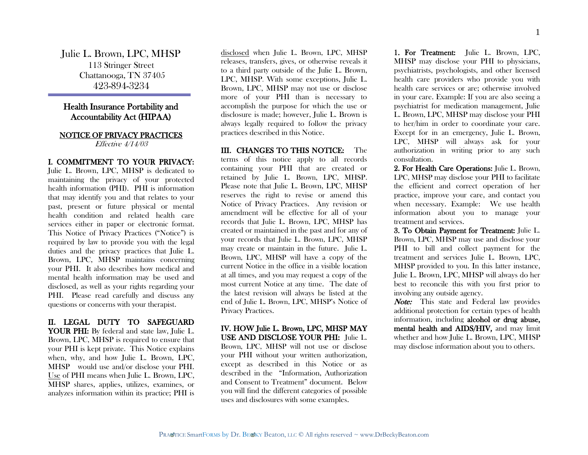Julie L. Brown, LPC, MHSP 113 Stringer Street Chattanooga, TN 37405 423-894-3234

## Health Insurance Portability and Accountability Act (HIPAA)

## NOTICE OF PRIVACY PRACTICES

Effective 4/14/03

I. COMMITMENT TO YOUR PRIVACY: Julie L. Brown, LPC, MHSP is dedicated to maintaining the privacy of your protected health information (PHI). PHI is information that may identify you and that relates to your past, present or future physical or mental health condition and related health care services either in paper or electronic format. This Notice of Privacy Practices ("Notice") is required by law to provide you with the legal duties and the privacy practices that Julie L. Brown, LPC, MHSP maintains concerning your PHI. It also describes how medical and mental health information may be used and disclosed, as well as your rights regarding your PHI. Please read carefully and discuss any questions or concerns with your therapist.

II. LEGAL DUTY TO SAFEGUARD YOUR PHI: By federal and state law, Julie L. Brown, LPC, MHSP is required to ensure that your PHI is kept private. This Notice explains when, why, and how Julie L. Brown, LPC, MHSP would use and/or disclose your PHI. Use of PHI means when Julie L. Brown, LPC, MHSP shares, applies, utilizes, examines, or analyzes information within its practice; PHI is

disclosed when Julie L. Brown, LPC, MHSP releases, transfers, gives, or otherwise reveals it to a third party outside of the Julie L. Brown, LPC, MHSP. With some exceptions, Julie L. Brown, LPC, MHSP may not use or disclose more of your PHI than is necessary to accomplish the purpose for which the use or disclosure is made; however, Julie L. Brown is always legally required to follow the privacy practices described in this Notice.

III. CHANGES TO THIS NOTICE: The terms of this notice apply to all records containing your PHI that are created or retained by Julie L. Brown, LPC, MHSP. Please note that Julie L. Brown, LPC, MHSP reserves the right to revise or amend this Notice of Privacy Practices. Any revision or amendment will be effective for all of your records that Julie L. Brown, LPC, MHSP has created or maintained in the past and for any of your records that Julie L. Brown, LPC, MHSP may create or maintain in the future. Julie L. Brown, LPC, MHSP will have a copy of the current Notice in the office in a visible location at all times, and you may request a copy of the most current Notice at any time. The date of the latest revision will always be listed at the end of Julie L. Brown, LPC, MHSP's Notice of Privacy Practices.

IV. HOW Julie L. Brown, LPC, MHSP MAY USE AND DISCLOSE YOUR PHI: Julie L. Brown, LPC, MHSP will not use or disclose your PHI without your written authorization, except as described in this Notice or as described in the "Information, Authorization and Consent to Treatment" document. Below you will find the different categories of possible uses and disclosures with some examples.

1. For Treatment: Julie L. Brown, LPC, MHSP may disclose your PHI to physicians, psychiatrists, psychologists, and other licensed health care providers who provide you with health care services or are; otherwise involved in your care. Example: If you are also seeing a psychiatrist for medication management, Julie L. Brown, LPC, MHSP may disclose your PHI to her/him in order to coordinate your care. Except for in an emergency, Julie L. Brown, LPC, MHSP will always ask for your authorization in writing prior to any such consultation.

2. For Health Care Operations: Julie L. Brown, LPC, MHSP may disclose your PHI to facilitate the efficient and correct operation of her practice, improve your care, and contact you when necessary. Example: We use health information about you to manage your treatment and services.

3. To Obtain Payment for Treatment: Julie L. Brown, LPC, MHSP may use and disclose your PHI to bill and collect payment for the treatment and services Julie L. Brown, LPC, MHSP provided to you. In this latter instance, Julie L. Brown, LPC, MHSP will always do her best to reconcile this with you first prior to involving any outside agency.

**Note:** This state and Federal law provides additional protection for certain types of health information, including alcohol or drug abuse, mental health and AIDS/HIV, and may limit whether and how Julie L. Brown, LPC, MHSP may disclose information about you to others.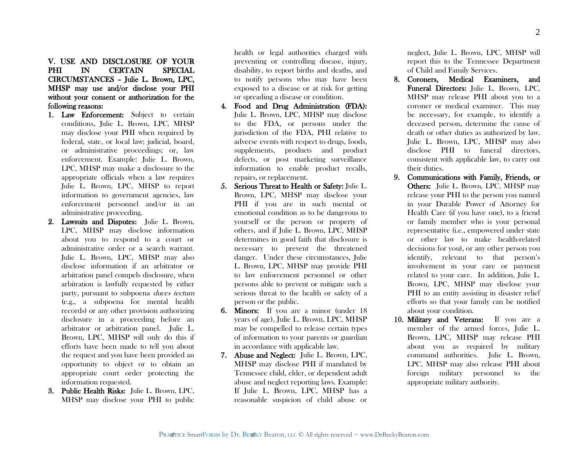V. USE AND DISCLOSURE OF YOUR PHI IN CERTAIN SPECIAL CIRCUMSTANCES – Julie L. Brown, LPC, MHSP may use and/or disclose your PHI without your consent or authorization for the following reasons:

- 1. Law Enforcement: Subject to certain conditions, Julie L. Brown, LPC, MHSP may disclose your PHI when required by federal, state, or local law; judicial, board, or administrative proceedings; or, law enforcement. Example: Julie L. Brown, LPC, MHSP may make a disclosure to the appropriate officials when a law requires Julie L. Brown, LPC, MHSP to report information to government agencies, law enforcement personnel and/or in an administrative proceeding.
- 2. Lawsuits and Disputes: Julie L. Brown, LPC, MHSP may disclose information about you to respond to a court or administrative order or a search warrant. Julie L. Brown, LPC, MHSP may also disclose information if an arbitrator or arbitration panel compels disclosure, when arbitration is lawfully requested by either party, pursuant to subpoena duces tectum (e.g., a subpoena for mental health records) or any other provision authorizing disclosure in a proceeding before an arbitrator or arbitration panel. Julie L. Brown, LPC, MHSP will only do this if efforts have been made to tell you about the request and you have been provided an opportunity to object or to obtain an appropriate court order protecting the information requested.
- 3. Public Health Risks: Julie L. Brown, LPC, MHSP may disclose your PHI to public

health or legal authorities charged with preventing or controlling disease, injury, disability, to report births and deaths, and to notify persons who may have been exposed to a disease or at risk for getting or spreading a disease or condition.

- 4. Food and Drug Administration (FDA): Julie L. Brown, LPC, MHSP may disclose to the FDA, or persons under the jurisdiction of the FDA, PHI relative to adverse events with respect to drugs, foods, supplements, products and product defects, or post marketing surveillance information to enable product recalls, repairs, or replacement.
- 5. Serious Threat to Health or Safety: Julie L. Brown, LPC, MHSP may disclose your PHI if you are in such mental or emotional condition as to be dangerous to yourself or the person or property of others, and if Julie L. Brown, LPC, MHSP determines in good faith that disclosure is necessary to prevent the threatened danger. Under these circumstances, Julie L. Brown, LPC, MHSP may provide PHI to law enforcement personnel or other persons able to prevent or mitigate such a serious threat to the health or safety of a person or the public.
- 6. Minors: If you are a minor (under 18 years of age), Julie L. Brown, LPC, MHSP may be compelled to release certain types of information to your parents or guardian in accordance with applicable law.
- 7. Abuse and Neglect: Julie L. Brown, LPC, MHSP may disclose PHI if mandated by Tennessee child, elder, or dependent adult abuse and neglect reporting laws. Example: If Julie L. Brown, LPC, MHSP has a reasonable suspicion of child abuse or

neglect, Julie L. Brown, LPC, MHSP will report this to the Tennessee Department of Child and Family Services.

- 8. Coroners, Medical Examiners, and Funeral Directors: Julie L. Brown, LPC, MHSP may release PHI about you to a coroner or medical examiner. This may be necessary, for example, to identify a deceased person, determine the cause of death or other duties as authorized by law. Julie L. Brown, LPC, MHSP may also disclose PHI to funeral directors, consistent with applicable law, to carry out their duties.
- 9. Communications with Family, Friends, or Others: Julie L. Brown, LPC, MHSP may release your PHI to the person you named in your Durable Power of Attorney for Health Care (if you have one), to a friend or family member who is your personal representative (i.e., empowered under state or other law to make health-related decisions for you), or any other person you identify, relevant to that person's involvement in your care or payment related to your care. In addition, Julie L. Brown, LPC, MHSP may disclose your PHI to an entity assisting in disaster relief efforts so that your family can be notified about your condition.
- 10. Military and Veterans: If you are a member of the armed forces, Julie L. Brown, LPC, MHSP may release PHI about you as required by military command authorities. Julie L. Brown, LPC, MHSP may also release PHI about foreign military personnel to the appropriate military authority.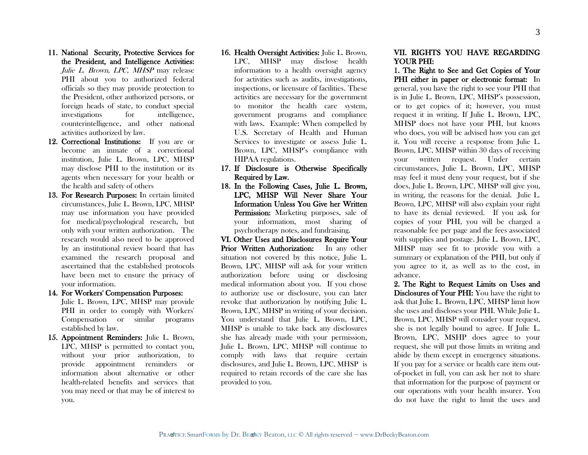- 11. National Security, Protective Services for the President, and Intelligence Activities: Julie L. Brown, LPC, MHSP may release PHI about you to authorized federal officials so they may provide protection to the President, other authorized persons, or foreign heads of state, to conduct special investigations for intelligence, counterintelligence, and other national activities authorized by law.
- 12. Correctional Institutions: If you are or become an inmate of a correctional institution, Julie L. Brown, LPC, MHSP may disclose PHI to the institution or its agents when necessary for your health or the health and safety of others
- 13. For Research Purposes: In certain limited circumstances, Julie L. Brown, LPC, MHSP may use information you have provided for medical/psychological research, but only with your written authorization. The research would also need to be approved by an institutional review board that has examined the research proposal and ascertained that the established protocols have been met to ensure the privacy of your information.
- 14. For Workers' Compensation Purposes: Julie L. Brown, LPC, MHSP may provide PHI in order to comply with Workers' Compensation or similar programs established by law.
- 15. Appointment Reminders: Julie L. Brown, LPC, MHSP is permitted to contact you, without your prior authorization, to provide appointment reminders or information about alternative or other health-related benefits and services that you may need or that may be of interest to you.
- 16. Health Oversight Activities: Julie L. Brown, LPC, MHSP may disclose health information to a health oversight agency for activities such as audits, investigations, inspections, or licensure of facilities. These activities are necessary for the government to monitor the health care system, government programs and compliance with laws. Example: When compelled by U.S. Secretary of Health and Human Services to investigate or assess Julie L. Brown, LPC, MHSP's compliance with HIPAA regulations.
- 17. If Disclosure is Otherwise Specifically Required by Law.
- 18. In the Following Cases, Julie L. Brown, LPC, MHSP Will Never Share Your Information Unless You Give her Written Permission: Marketing purposes, sale of your information, most sharing of psychotherapy notes, and fundraising.

VI. Other Uses and Disclosures Require Your Prior Written Authorization: In any other situation not covered by this notice, Julie L. Brown, LPC, MHSP will ask for your written authorization before using or disclosing medical information about you. If you chose to authorize use or disclosure, you can later revoke that authorization by notifying Julie L. Brown, LPC, MHSP in writing of your decision. You understand that Julie L. Brown, LPC, MHSP is unable to take back any disclosures she has already made with your permission, Julie L. Brown, LPC, MHSP will continue to comply with laws that require certain disclosures, and Julie L. Brown, LPC, MHSP is required to retain records of the care she has provided to you.

## VII. RIGHTS YOU HAVE REGARDING YOUR PHI:

1. The Right to See and Get Copies of Your PHI either in paper or electronic format: In general, you have the right to see your PHI that is in Julie L. Brown, LPC, MHSP's possession, or to get copies of it; however, you must request it in writing. If Julie L. Brown, LPC, MHSP does not have your PHI, but knows who does, you will be advised how you can get it. You will receive a response from Julie L. Brown, LPC, MHSP within 30 days of receiving your written request. Under certain circumstances, Julie L. Brown, LPC, MHSP may feel it must deny your request, but if she does, Julie L. Brown, LPC, MHSP will give you, in writing, the reasons for the denial. Julie L. Brown, LPC, MHSP will also explain your right to have its denial reviewed. If you ask for copies of your PHI, you will be charged a reasonable fee per page and the fees associated with supplies and postage. Julie L. Brown, LPC, MHSP may see fit to provide you with a summary or explanation of the PHI, but only if you agree to it, as well as to the cost, in advance.

2. The Right to Request Limits on Uses and Disclosures of Your PHI: You have the right to ask that Julie L. Brown, LPC, MHSP limit how she uses and discloses your PHI. While Julie L. Brown, LPC, MHSP will consider your request, she is not legally bound to agree. If Julie L. Brown, LPC, MSHP does agree to your request, she will put those limits in writing and abide by them except in emergency situations. If you pay for a service or health care item outof-pocket in full, you can ask her not to share that information for the purpose of payment or our operations with your health insurer. You do not have the right to limit the uses and